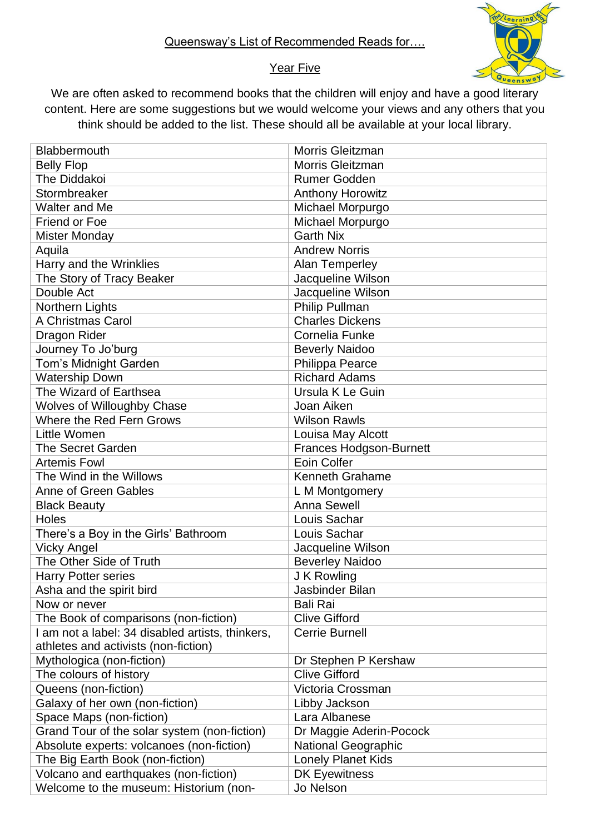

## Year Five

We are often asked to recommend books that the children will enjoy and have a good literary content. Here are some suggestions but we would welcome your views and any others that you think should be added to the list. These should all be available at your local library.

| Blabbermouth                                     | Morris Gleitzman               |
|--------------------------------------------------|--------------------------------|
| <b>Belly Flop</b>                                | <b>Morris Gleitzman</b>        |
| The Diddakoi                                     | <b>Rumer Godden</b>            |
| Stormbreaker                                     | <b>Anthony Horowitz</b>        |
| Walter and Me                                    | Michael Morpurgo               |
| <b>Friend or Foe</b>                             | Michael Morpurgo               |
| <b>Mister Monday</b>                             | <b>Garth Nix</b>               |
| Aquila                                           | <b>Andrew Norris</b>           |
| Harry and the Wrinklies                          | <b>Alan Temperley</b>          |
| The Story of Tracy Beaker                        | Jacqueline Wilson              |
| Double Act                                       | Jacqueline Wilson              |
| Northern Lights                                  | Philip Pullman                 |
| A Christmas Carol                                | <b>Charles Dickens</b>         |
| Dragon Rider                                     | <b>Cornelia Funke</b>          |
| Journey To Jo'burg                               | <b>Beverly Naidoo</b>          |
| Tom's Midnight Garden                            | Philippa Pearce                |
| <b>Watership Down</b>                            | <b>Richard Adams</b>           |
| The Wizard of Earthsea                           | Ursula K Le Guin               |
| <b>Wolves of Willoughby Chase</b>                | Joan Aiken                     |
| Where the Red Fern Grows                         | <b>Wilson Rawls</b>            |
| <b>Little Women</b>                              | Louisa May Alcott              |
| The Secret Garden                                | <b>Frances Hodgson-Burnett</b> |
| <b>Artemis Fowl</b>                              | Eoin Colfer                    |
| The Wind in the Willows                          | <b>Kenneth Grahame</b>         |
| <b>Anne of Green Gables</b>                      | L M Montgomery                 |
| <b>Black Beauty</b>                              | Anna Sewell                    |
| Holes                                            | Louis Sachar                   |
| There's a Boy in the Girls' Bathroom             | Louis Sachar                   |
| <b>Vicky Angel</b>                               | Jacqueline Wilson              |
| The Other Side of Truth                          | <b>Beverley Naidoo</b>         |
| <b>Harry Potter series</b>                       | J K Rowling                    |
| Asha and the spirit bird                         | Jasbinder Bilan                |
| Now or never                                     | <b>Bali Rai</b>                |
| The Book of comparisons (non-fiction)            | <b>Clive Gifford</b>           |
| I am not a label: 34 disabled artists, thinkers, | Cerrie Burnell                 |
| athletes and activists (non-fiction)             |                                |
| Mythologica (non-fiction)                        | Dr Stephen P Kershaw           |
| The colours of history                           | <b>Clive Gifford</b>           |
| Queens (non-fiction)                             | Victoria Crossman              |
| Galaxy of her own (non-fiction)                  | Libby Jackson                  |
| Space Maps (non-fiction)                         | Lara Albanese                  |
| Grand Tour of the solar system (non-fiction)     | Dr Maggie Aderin-Pocock        |
| Absolute experts: volcanoes (non-fiction)        | <b>National Geographic</b>     |
| The Big Earth Book (non-fiction)                 | <b>Lonely Planet Kids</b>      |
| Volcano and earthquakes (non-fiction)            | <b>DK Eyewitness</b>           |
| Welcome to the museum: Historium (non-           | Jo Nelson                      |